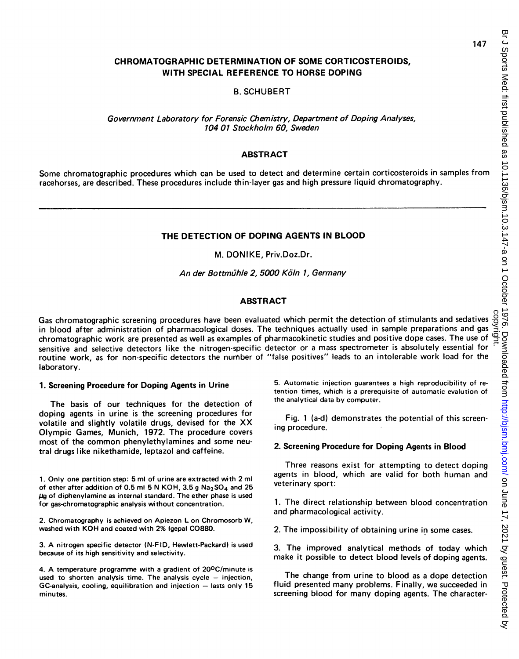# CHROMATOGRAPHIC DETERMINATION OF SOME CORTICOSTEROIDS, WITH SPECIAL REFERENCE TO HORSE DOPING

B. SCHUBERT

Government Laboratory for Forensic Chemistry, Department of Doping Analyses, 104 01 Stockholm 60, Sweden

## **ABSTRACT**

Some chromatographic procedures which can be used to detect and determine certain corticosteroids in samples from racehorses, are described. These procedures include thin-layer gas and high pressure liquid chromatography.

## THE DETECTION OF DOPING AGENTS IN BLOOD

## M. DONIKE, Priv.Doz.Dr.

An der Bottmühle 2, 5000 Köln 1, Germany

## ABSTRACT

Gas chromatographic screening procedures have been evaluated which permit the detection of stimulants and sedatives in blood after administration of pharmacological doses. The techniques actually used in sample preparations and gas Gas chromatographic screening procedures have been evaluated which permit the detection of stimulants and sedatives  $\frac{8}{10}$ <br>in blood after administration of pharmacological doses. The techniques actually used in sample sensitive and selective detectors like the nitrogen-specific detector or <sup>a</sup> mass spectrometer is absolutely essential for routine work, as for non-specific detectors the number of "false positives" leads to an intolerable work load for the laboratory.

### 1. Screening Procedure for Doping Agents in Urine

The basis of our techniques for the detection of doping agents in urine is the screening procedures for volatile and slightly volatile drugs, devised for the XX Olympic Games, Munich, 1972. The procedure covers most of the common phenylethylamines and some neutral drugs like nikethamide, leptazol and caffeine.

1. Only one partition step: 5 ml of urine are extracted with 2 ml of ether after addition of 0.5 ml 5 N KOH, 3.5 g  $Na<sub>2</sub>SO<sub>4</sub>$  and 25  $\mu$ g of diphenylamine as internal standard. The ether phase is used for gas-chromatographic analysis without concentration.

2. Chromatography is achieved on Apiezon L on Chromosorb W, washed with KOH and coated with 2% Igepal C0880.

3. A nitrogen specific detector (N-F ID, Hewlett-Packard) is used because of its high sensitivity and selectivity.

4. A temperature programme with <sup>a</sup> gradient of 200C/minute is used to shorten analysis time. The analysis cycle  $-$  injection,  $GC$ -analysis, cooling, equilibration and injection  $-$  lasts only 15 minutes.

5. Automatic injection guarantees a high reproducibility of retention times, which is a prerequisite of automatic evalution of the analytical data by computer.

Fig. <sup>1</sup> (a-d) demonstrates the potential of this screening procedure.

# 2. Screening Procedure for Doping Agents in Blood

Three reasons exist for attempting to detect doping agents in blood, which are valid for both human and veterinary sport:

1. The direct relationship between blood concentration and pharmacological activity.

2. The impossibility of obtaining urine in some cases.

3. The improved analytical methods of today which make it possible to detect blood levels of doping agents.

The change from urine to blood as <sup>a</sup> dope detection fluid presented many problems. Finally, we succeeded in screening blood for many doping agents. The character-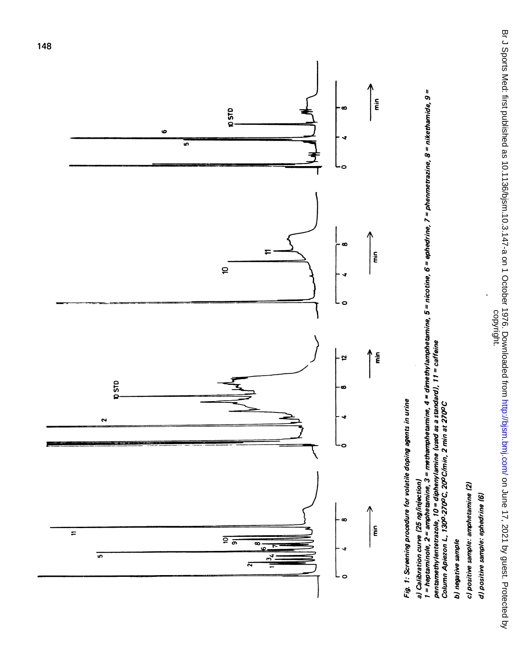Br J Sports Med: first published as 10.1136/bjsm.10.3.147-a on 1 October 1976. Downloaded from http://bjsm.bmj.com/ on June 17, 2021 by guest. Protected by<br>copyright. Br J Sports Med: first published as 10.1136/bjsm.10.3.147-a on 1 October 1976. Downloaded from <http://bjsm.bmj.com/> on June 17, 2021 by guest. Protected by



City

2\~~~~~~~0  $\infty$  $\frac{1}{2}$  $\bullet$  $\Delta$ mine, 4 = dimethylampheta<br>\* \*\*\*\*\*dard1 \* 1 = asffaira  $\mathbf{z}$  .  $\sigma$  .  $\overline{a}$ و ا خ ن

p: 3 . 5 .

ime<br>Ge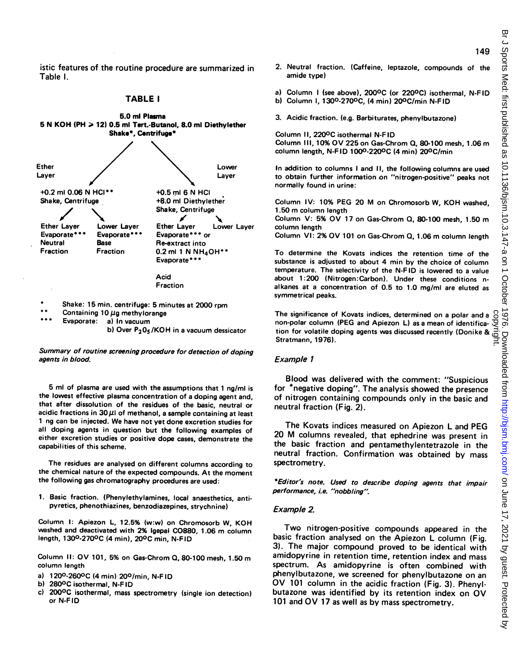istic features of the routine procedure are summarized in Table 1.

## TABLE <sup>I</sup>



Shake: 15 min. centrifuge: 5 minutes at 2000 rpm

\*\* Containing 10  $\mu$ g methylorange<br>\*\*\* Evaporate: a) In vacuum

a) In vacuum

b) Over  $P_2O_5/KOH$  in a vacuum dessicator

Summary of routine screening procedure for detection of doping agents in blood.

5 ml of plasma are used with the assumptions that <sup>1</sup> ng/ml is the lowest effective plasma concentration of a doping agent and, that after dissolution of the residues of the basic, neutral or acidic fractions in  $30 \mu$ l of methanol, a sample containing at least <sup>1</sup> ng can be injected. We have not yet done excretion studies for all doping agents in question but the following examples of either excretion studies or positive dope cases, demonstrate the capabilities of this scheme.

The residues are analysed on different columns according to the chemical nature of the expected compounds. At the moment the following gas chromatography procedures are used:

1. Basic fraction. (Phenylethylamines, local anaesthetics, antipyretics, phenothiazines, benzodiazepines, strychnine)

Column I: Apiezon L, 12.5% (w:w) on Chromosorb W, KOH washed and deactivated with 2% Igepal C0880, 1.06 m column length, 1300-2700C (4 min), 200C min, N-FID

Column II: OV 101, 5% on Gas-Chrom Q, 80-100 mesh, 1.50 m column length

- a) 120<sup>0</sup>-260<sup>0</sup>C (4 min) 20<sup>0</sup>/min, N-FID<br>b) 280<sup>0</sup>C isothermal N-FID
- b) 2800C isothermal, N-F ID
- c) 2000C isothermal, mass spectrometry (single ion detection) or N-FID
- 2. Neutral fraction. (Caffeine, leptazole, compounds of the amide type)
- a) Column I (see above), 200<sup>o</sup>C (or 220<sup>o</sup>C) isothermal, N-FID
- b) Column I, 1300-2700C, (4 min) 200C/min N-F ID
- 3. Acidic fraction. (e.g. Barbiturates, phenylbutazone)

Column II, 2200C isothermal N-F ID Column III, 10% OV 225 on Gas-Chrom Q, 80-100 mesh, 1.06 m column length, N-F ID 1000-2200C (4 min) 200C/min

In addition to columns <sup>I</sup> and II, the following columns are used to obtain further information on "nitrogen-positive" peaks not normally found in urine:

Column IV: 10% PEG <sup>20</sup> M on Chromosorb W, KOH washed, 1.50 m column length

Column V: 5% OV <sup>17</sup> on Gas-Chrom Q, 80-100 mesh, 1.50 m column length

Column VI: 2% OV <sup>101</sup> on Gas-Chrom Q, 1.06 m column length

To determine the Kovats indices the retention time of the substance is adjusted to about 4 min by the choice of column temperature. The selectivity of the N-FID is lowered to <sup>a</sup> value about 1:200 (Nitrogen:Carbon). Under these conditions nalkanes at <sup>a</sup> concentration of 0.5 to 1.0 mg/ml are eluted as symmetrical peaks.

The significance of Kovats indices, determined on <sup>a</sup> polar and <sup>a</sup> non-polar column (PEG and Apiezon L) as <sup>a</sup> mean of identifica-The significance of Kovats indices, determined on a polar and a  $\frac{S}{S}$  non-polar column (PEG and Apiezon L) as a mean of identifica-  $\frac{S}{S}$  tion for volatile doping agents was discussed recently (Donike &  $\frac{S}{S}$ )

## Example <sup>1</sup>

Blood was delivered with the comment: "Suspicious for \*negative doping". The analysis showed the presence of nitrogen containing compounds only in the basic and neutral fraction (Fig. 2).

The Kovats indices measured on Apiezon L and PEG <sup>20</sup> M columns revealed, that ephedrine was present in the basic fraction and pentamethylentetrazole in the neutral fraction. Confirmation was obtained by mass spectrometry.

\*Editor's note. Used to describe doping agents that impair performance, i.e. "nobbling".

### Example 2.

Two nitrogen-positive compounds appeared in the basic fraction analysed on the Apiezon L column (Fig. 3). The major compound proved to be identical with amidopyrine in retention time, retention index and mass spectrum. As amidopyrine is often combined with phenylbutazone, we screened for phenylbutazone on an OV <sup>101</sup> column in the acidic fraction (Fig. 3). Phenylbutazone was identified by its retention index on OV <sup>101</sup> and OV <sup>17</sup> as well as by mass spectrometry.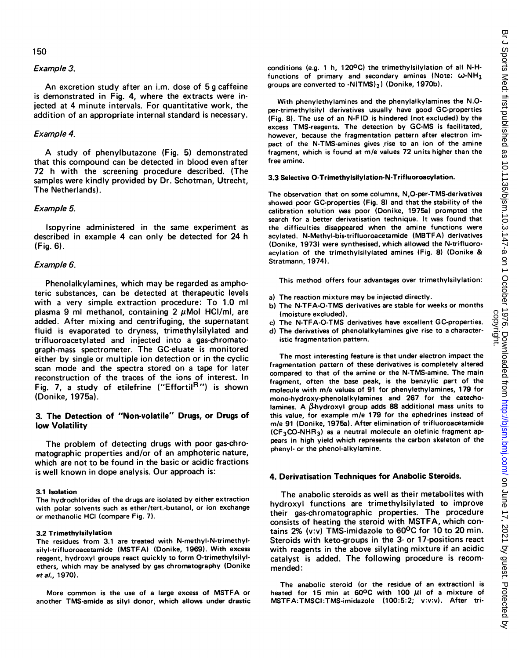## 150

#### Example 3.

An excretion study after an i.m. dose of 5 <sup>g</sup> caffeine is demonstrated in Fig. 4, where the extracts were injected at 4 minute intervals. For quantitative work, the addition of an appropriate internal standard is necessary.

#### Example 4.

A study of phenylbutazone (Fig. 5) demonstrated that this compound can be detected in blood even after 72 h with the screening procedure described. (The samples were kindly provided by Dr. Schotman, Utrecht, The Netherlands).

### Example 5.

Isopyrine administered in the same experiment as described in example 4 can only be detected for 24 h (Fig. 6).

## Example 6.

Phenolalkylamines, which may be regarded as amphoteric substances, can be detected at therapeutic levels with <sup>a</sup> very simple extraction procedure: To 1.0 ml plasma 9 ml methanol, containing  $2 \mu$ Mol HCI/ml, are added. After mixing and centrifuging, the supernatant fluid is evaporated to dryness, trimethylsilylated and trifluoroacetylated and injected into a gas-chromatograph-mass spectrometer. The GC-eluate is monitored either by single or multiple ion detection or in the cyclic scan mode and the spectra stored on <sup>a</sup> tape for later reconstruction of the traces of the ions of interest. In Fig. 7, a study of etilefrine ("Effortil<sup>R</sup>") is shown (Donike, 1975a).

# 3. The Detection of "Non-volatile" Drugs, or Drugs of low Volatility

The problem of detecting drugs with poor gas-chromatographic properties and/or of an amphoteric nature, which are not to be found in the basic or acidic fractions is well known in dope analysis. Our approach is:

## 3.1 Isolation

The hydrochlorides of the drugs are isolated by either extraction with polar solvents such as ether/tert.-butanol, or ion exchange or methanolic HCI (compare Fig. 7).

#### 3.2 Trimethylsilylation

The residues from 3.1 are treated with N-methyl-N-trimethylsilyl-trifluoroacetamide (MSTFA) (Donike, 1969). With excess reagent, hydroxyl groups react quickly to form 0-trimethylsilylethers, which may be analysed by gas chromatography (Donike etal., 1970).

More common is the use of <sup>a</sup> large excess of MSTFA or another TMS-amide as silyl donor, which allows under drastic conditions (e.g. <sup>1</sup> h, 1200C) the trimethylsilylation of all N-Hfunctions of primary and secondary amines (Note:  $\omega$ -NH<sub>2</sub> groups are converted to  $-N(TMS)_2$ ) (Donike, 1970b).

With phenylethylamines and the phenylalkylamines the N.0 per-trimethylsilyl derivatives usually have good GC-properties (Fig. 8). The use of an N-F ID is hindered (not excluded) by the excess TMS-reagents. The detection by GC-MS is facilitated, however, because the fragmentation pattern after electron impact of the N-TMS-amines gives rise to an ion of the amine fragment, which is found at m/e values 72 units higher than the free amine.

#### 3.3 Selective 0-Trimethylsilylation-N-Trifluoroacylation.

The observation that on some columns, N,O-per-TMS-derivatives showed poor GC-properties (Fig. 8) and that the stability of the calibration solution was poor (Donike, 1975a) prompted the search for a better derivatisation technique. It was found that the difficulties disappeared when the amine functions were acylated. N-Methyl-bis-trifluoroacetamide (MBTF A) derivatives (Donike, 1973) were synthesised, which allowed the N-trifluoroacylation of the trimethylsilylated amines (Fig. 8) (Donike & Stratmann, 1974).

This method offers four advantages over trimethylsilylation:

- a) The reaction mixture may be injected directly.
- b) The N-TFA-0-TMS derivatives are stable for weeks or months (moisture excluded).
- c) The N-TFA-0-TMS derivatives have excellent GC-properties.
- d) The derivatives of phenolalkylamines give rise to a characteristic fragmentation pattern.

The most interesting feature is that under electron impact the fragmentation pattern of these derivatives is completely altered compared to that of the amine or the N-TMS-amine. The main fragment, often the base peak, is the benzylic part of the molecule with m/e values of 91 for phenylethylamines, 179 for mono-hydroxy-phenolalkylamines and 267 for the catecholamines. A  $\beta$ -hydroxyl group adds 88 additional mass units to this value, for example m/e 179 for the ephedrines instead of m/e 91 (Donike, 1975a). After elimination of trifluoroacetamide  $(CF<sub>3</sub>CO-NHR<sub>3</sub>)$  as a neutral molecule an olefinic fragment appears in high yield which represents the carbon skeleton of the phenyl- or the phenol-alkylamine.

#### 4. Derivatisation Techniques for Anabolic Steroids.

The anabolic steroids as well as their metabolites with hydroxyl functions are trimethylsilylated to improve their gas-chromatographic properties. The procedure consists of heating the steroid with MSTFA, which contains 2% (v:v) TMS-imidazole to 600C for 10 to 20 min. Steroids with keto-groups in the 3- or 17-positions react with reagents in the above silylating mixture if an acidic catalyst is added. The following procedure is recommended:

The anabolic steroid (or the residue of an extraction) is heated for 15 min at 60°C with 100  $\mu$ I of a mixture of MSTFA:TMSCl:TMS-imidazole (100:5:2; v:v:v). After tri-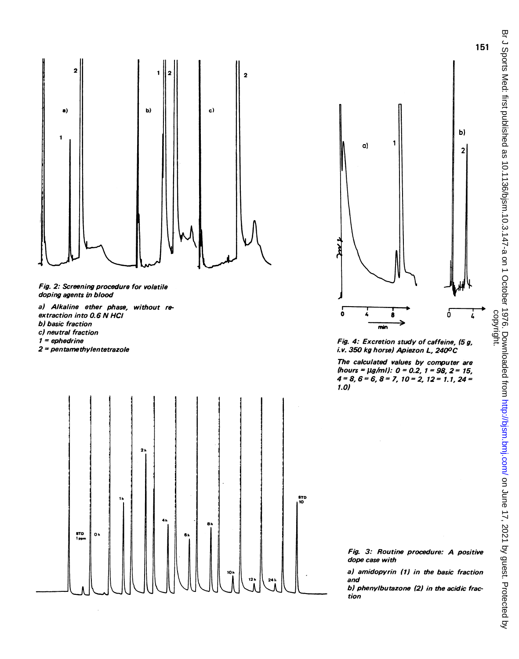



extraction into 0.6 N HCI b) basic fraction c) neutral fraction  $1 = e$ phedrine 2 = pentame thylentetrazole



Fig. 4: Excretion study of caffeine, (5g, i.v. 350 kg horse) Apiezon L, 2400C

The calculated values by computer are (hours =  $\mu g/ml$ : 0 = 0.2, 1 = 98, 2 = 15,  $4=8, 6=6, 8=7, 10=2, 12=1.1, 24=$ 7.0)

Fig. 3: Routine procedure: A positive dope case with

a) amidopyrin (1) in the basic fraction and

b) phenylbutazone (2) in the acidic fraction

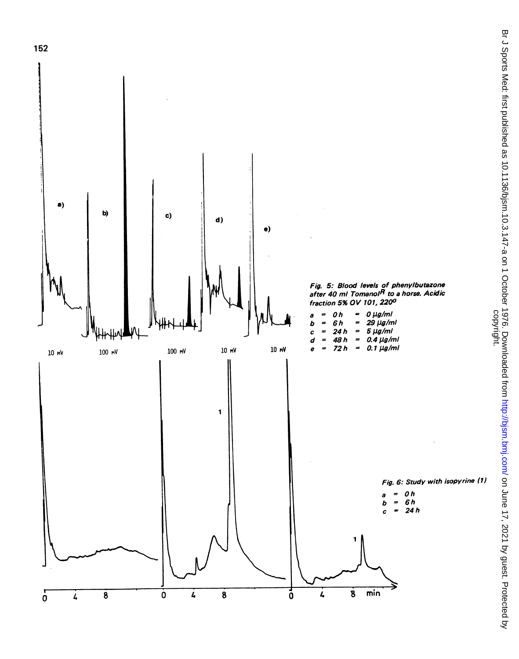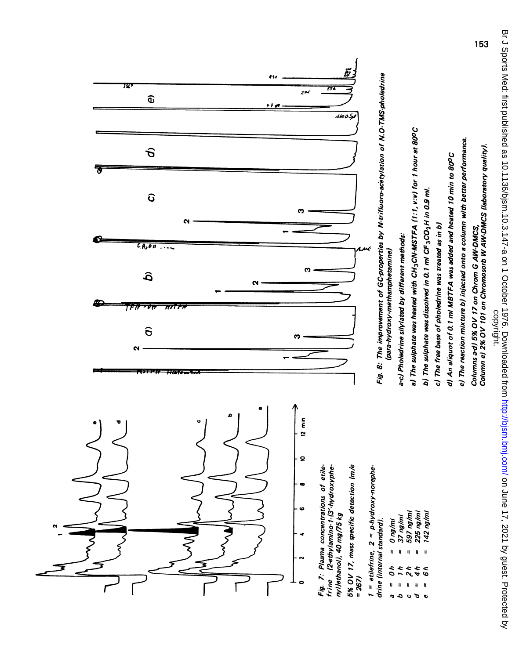

Br J Sports Med: first published as 10.1136/bjsm.10.3.147-a on 1 October 1976. Downloaded from http://bjsm.bmj.com/ on June 17, 2021 by guest. Protected by<br>copyright. Br J Sports Med: first published as 10.1136/bjsm.10.3.147-a on 1 October 1976. Downloaded from <http://bjsm.bmj.com/> on June 17, 2021 by guest. Protected by